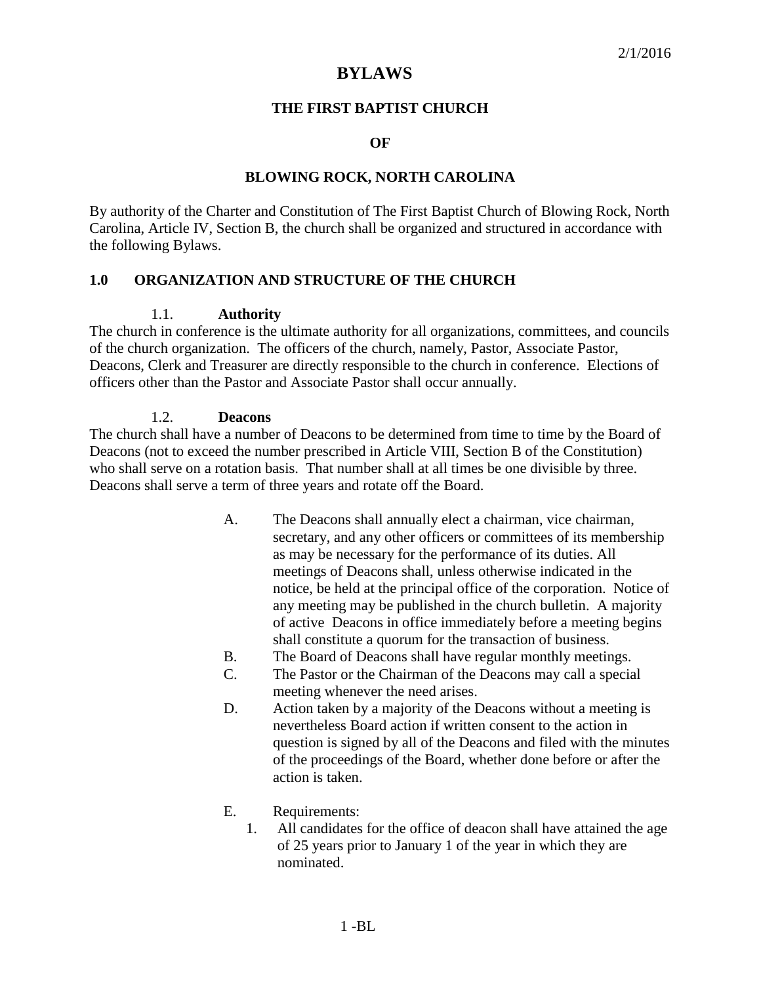# **BYLAWS**

#### **THE FIRST BAPTIST CHURCH**

#### **OF**

#### **BLOWING ROCK, NORTH CAROLINA**

By authority of the Charter and Constitution of The First Baptist Church of Blowing Rock, North Carolina, Article IV, Section B, the church shall be organized and structured in accordance with the following Bylaws.

### **1.0 ORGANIZATION AND STRUCTURE OF THE CHURCH**

#### 1.1. **Authority**

The church in conference is the ultimate authority for all organizations, committees, and councils of the church organization. The officers of the church, namely, Pastor, Associate Pastor, Deacons, Clerk and Treasurer are directly responsible to the church in conference. Elections of officers other than the Pastor and Associate Pastor shall occur annually.

#### 1.2. **Deacons**

The church shall have a number of Deacons to be determined from time to time by the Board of Deacons (not to exceed the number prescribed in Article VIII, Section B of the Constitution) who shall serve on a rotation basis. That number shall at all times be one divisible by three. Deacons shall serve a term of three years and rotate off the Board.

- A. The Deacons shall annually elect a chairman, vice chairman, secretary, and any other officers or committees of its membership as may be necessary for the performance of its duties. All meetings of Deacons shall, unless otherwise indicated in the notice, be held at the principal office of the corporation. Notice of any meeting may be published in the church bulletin. A majority of active Deacons in office immediately before a meeting begins shall constitute a quorum for the transaction of business.
- B. The Board of Deacons shall have regular monthly meetings.
- C. The Pastor or the Chairman of the Deacons may call a special meeting whenever the need arises.
- D. Action taken by a majority of the Deacons without a meeting is nevertheless Board action if written consent to the action in question is signed by all of the Deacons and filed with the minutes of the proceedings of the Board, whether done before or after the action is taken.
- E. Requirements:
	- 1. All candidates for the office of deacon shall have attained the age of 25 years prior to January 1 of the year in which they are nominated.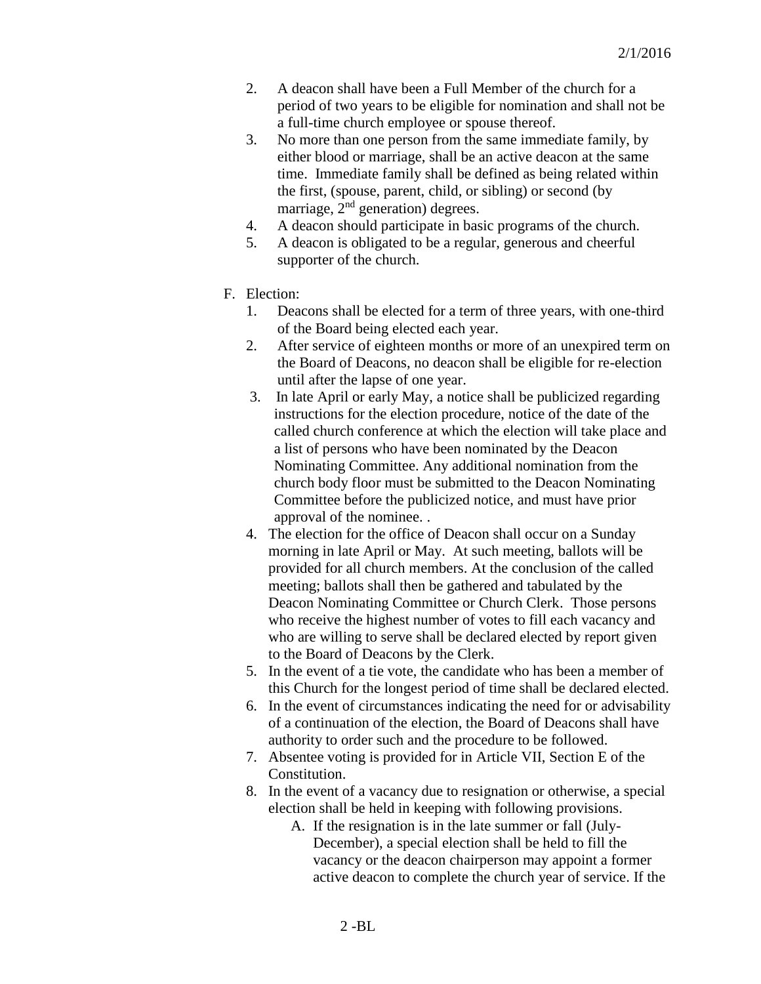- 2. A deacon shall have been a Full Member of the church for a period of two years to be eligible for nomination and shall not be a full-time church employee or spouse thereof.
- 3. No more than one person from the same immediate family, by either blood or marriage, shall be an active deacon at the same time. Immediate family shall be defined as being related within the first, (spouse, parent, child, or sibling) or second (by marriage,  $2<sup>nd</sup>$  generation) degrees.
- 4. A deacon should participate in basic programs of the church.
- 5. A deacon is obligated to be a regular, generous and cheerful supporter of the church.
- F. Election:
	- 1. Deacons shall be elected for a term of three years, with one-third of the Board being elected each year.
	- 2. After service of eighteen months or more of an unexpired term on the Board of Deacons, no deacon shall be eligible for re-election until after the lapse of one year.
	- 3. In late April or early May, a notice shall be publicized regarding instructions for the election procedure, notice of the date of the called church conference at which the election will take place and a list of persons who have been nominated by the Deacon Nominating Committee. Any additional nomination from the church body floor must be submitted to the Deacon Nominating Committee before the publicized notice, and must have prior approval of the nominee. .
	- 4. The election for the office of Deacon shall occur on a Sunday morning in late April or May. At such meeting, ballots will be provided for all church members. At the conclusion of the called meeting; ballots shall then be gathered and tabulated by the Deacon Nominating Committee or Church Clerk. Those persons who receive the highest number of votes to fill each vacancy and who are willing to serve shall be declared elected by report given to the Board of Deacons by the Clerk.
	- 5. In the event of a tie vote, the candidate who has been a member of this Church for the longest period of time shall be declared elected.
	- 6. In the event of circumstances indicating the need for or advisability of a continuation of the election, the Board of Deacons shall have authority to order such and the procedure to be followed.
	- 7. Absentee voting is provided for in Article VII, Section E of the Constitution.
	- 8. In the event of a vacancy due to resignation or otherwise, a special election shall be held in keeping with following provisions.
		- A. If the resignation is in the late summer or fall (July-December), a special election shall be held to fill the vacancy or the deacon chairperson may appoint a former active deacon to complete the church year of service. If the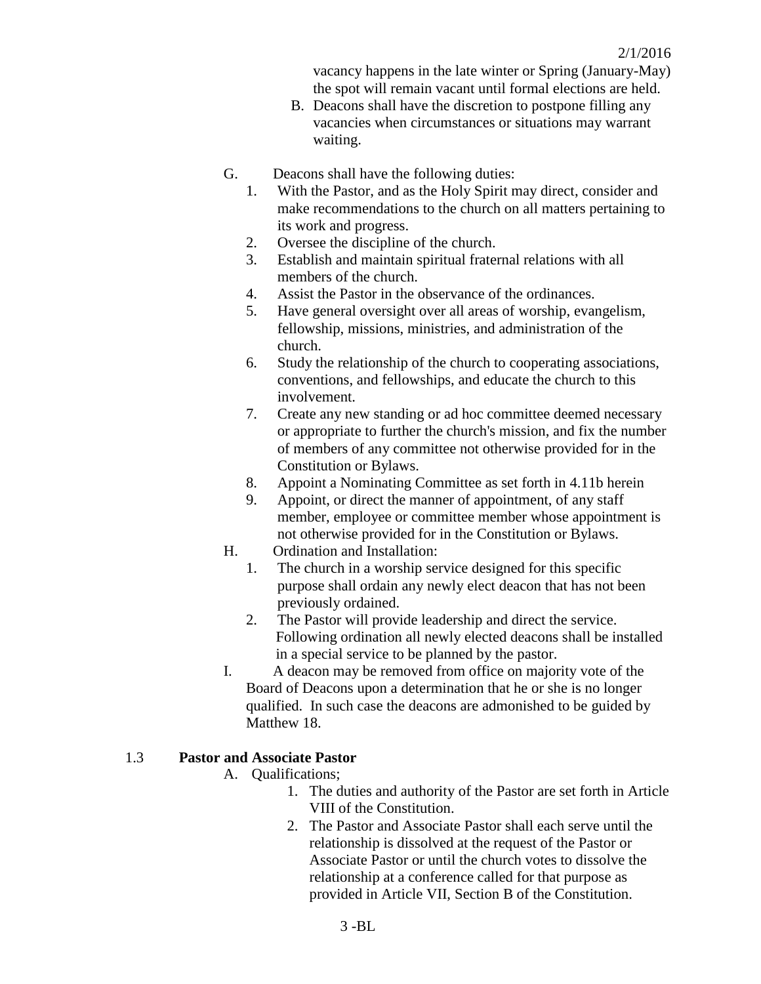vacancy happens in the late winter or Spring (January-May) the spot will remain vacant until formal elections are held.

- B. Deacons shall have the discretion to postpone filling any vacancies when circumstances or situations may warrant waiting.
- G. Deacons shall have the following duties:
	- 1. With the Pastor, and as the Holy Spirit may direct, consider and make recommendations to the church on all matters pertaining to its work and progress.
	- 2. Oversee the discipline of the church.
	- 3. Establish and maintain spiritual fraternal relations with all members of the church.
	- 4. Assist the Pastor in the observance of the ordinances.
	- 5. Have general oversight over all areas of worship, evangelism, fellowship, missions, ministries, and administration of the church.
	- 6. Study the relationship of the church to cooperating associations, conventions, and fellowships, and educate the church to this involvement.
	- 7. Create any new standing or ad hoc committee deemed necessary or appropriate to further the church's mission, and fix the number of members of any committee not otherwise provided for in the Constitution or Bylaws.
	- 8. Appoint a Nominating Committee as set forth in 4.11b herein
	- 9. Appoint, or direct the manner of appointment, of any staff member, employee or committee member whose appointment is not otherwise provided for in the Constitution or Bylaws.
- H. Ordination and Installation:
	- 1. The church in a worship service designed for this specific purpose shall ordain any newly elect deacon that has not been previously ordained.
	- 2. The Pastor will provide leadership and direct the service. Following ordination all newly elected deacons shall be installed in a special service to be planned by the pastor.
- I. A deacon may be removed from office on majority vote of the Board of Deacons upon a determination that he or she is no longer qualified. In such case the deacons are admonished to be guided by Matthew 18.

### 1.3 **Pastor and Associate Pastor**

- A. Qualifications;
	- 1. The duties and authority of the Pastor are set forth in Article VIII of the Constitution.
	- 2. The Pastor and Associate Pastor shall each serve until the relationship is dissolved at the request of the Pastor or Associate Pastor or until the church votes to dissolve the relationship at a conference called for that purpose as provided in Article VII, Section B of the Constitution.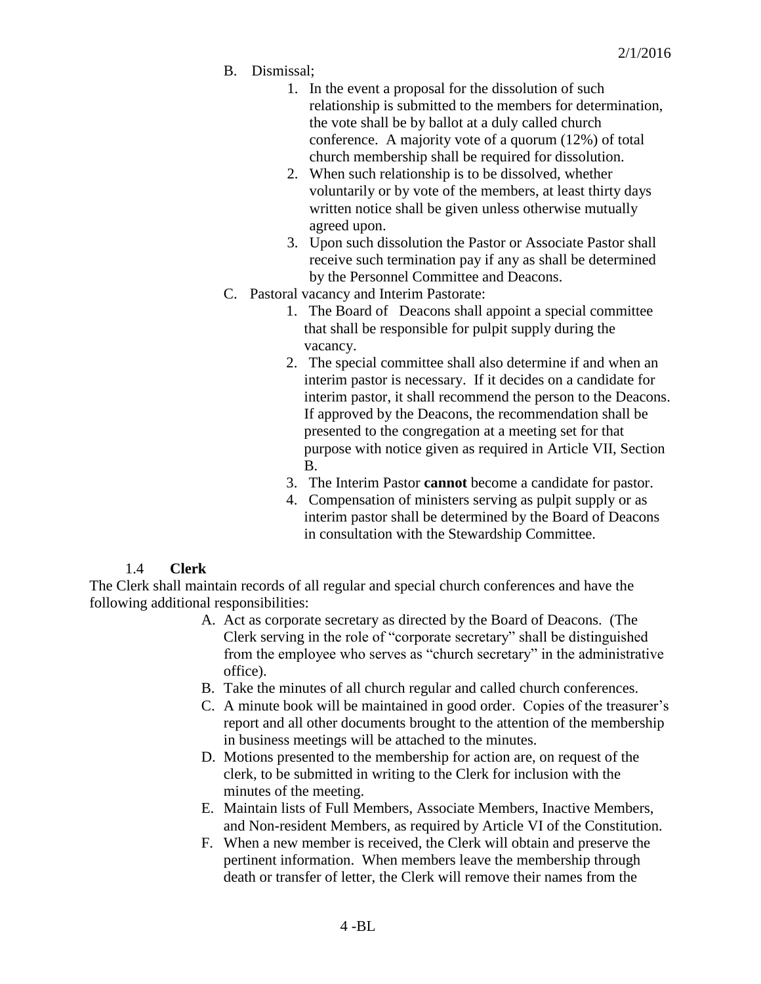- B. Dismissal;
	- 1. In the event a proposal for the dissolution of such relationship is submitted to the members for determination, the vote shall be by ballot at a duly called church conference. A majority vote of a quorum (12%) of total church membership shall be required for dissolution.
	- 2. When such relationship is to be dissolved, whether voluntarily or by vote of the members, at least thirty days written notice shall be given unless otherwise mutually agreed upon.
	- 3. Upon such dissolution the Pastor or Associate Pastor shall receive such termination pay if any as shall be determined by the Personnel Committee and Deacons.
- C. Pastoral vacancy and Interim Pastorate:
	- 1. The Board of Deacons shall appoint a special committee that shall be responsible for pulpit supply during the vacancy.
	- 2. The special committee shall also determine if and when an interim pastor is necessary. If it decides on a candidate for interim pastor, it shall recommend the person to the Deacons. If approved by the Deacons, the recommendation shall be presented to the congregation at a meeting set for that purpose with notice given as required in Article VII, Section B.
	- 3. The Interim Pastor **cannot** become a candidate for pastor.
	- 4. Compensation of ministers serving as pulpit supply or as interim pastor shall be determined by the Board of Deacons in consultation with the Stewardship Committee.

### 1.4 **Clerk**

The Clerk shall maintain records of all regular and special church conferences and have the following additional responsibilities:

- A. Act as corporate secretary as directed by the Board of Deacons. (The Clerk serving in the role of "corporate secretary" shall be distinguished from the employee who serves as "church secretary" in the administrative office).
- B. Take the minutes of all church regular and called church conferences.
- C. A minute book will be maintained in good order. Copies of the treasurer's report and all other documents brought to the attention of the membership in business meetings will be attached to the minutes.
- D. Motions presented to the membership for action are, on request of the clerk, to be submitted in writing to the Clerk for inclusion with the minutes of the meeting.
- E. Maintain lists of Full Members, Associate Members, Inactive Members, and Non-resident Members, as required by Article VI of the Constitution.
- F. When a new member is received, the Clerk will obtain and preserve the pertinent information. When members leave the membership through death or transfer of letter, the Clerk will remove their names from the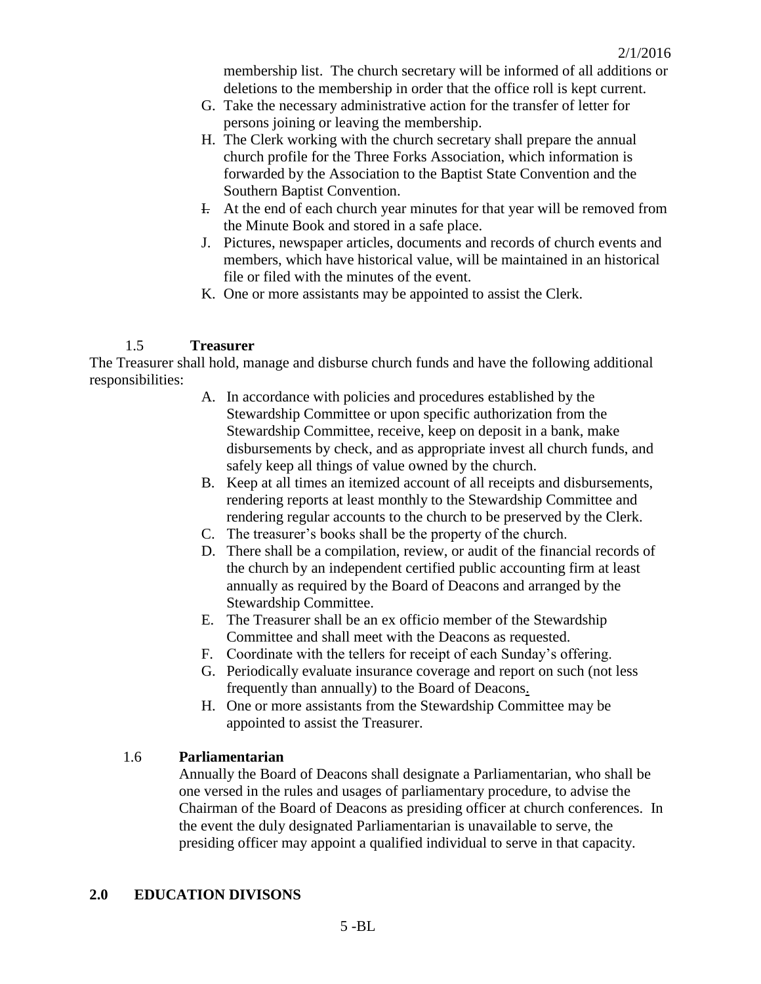membership list. The church secretary will be informed of all additions or deletions to the membership in order that the office roll is kept current.

- G. Take the necessary administrative action for the transfer of letter for persons joining or leaving the membership.
- H. The Clerk working with the church secretary shall prepare the annual church profile for the Three Forks Association, which information is forwarded by the Association to the Baptist State Convention and the Southern Baptist Convention.
- I. At the end of each church year minutes for that year will be removed from the Minute Book and stored in a safe place.
- J. Pictures, newspaper articles, documents and records of church events and members, which have historical value, will be maintained in an historical file or filed with the minutes of the event.
- K. One or more assistants may be appointed to assist the Clerk.

#### 1.5 **Treasurer**

The Treasurer shall hold, manage and disburse church funds and have the following additional responsibilities:

- A. In accordance with policies and procedures established by the Stewardship Committee or upon specific authorization from the Stewardship Committee, receive, keep on deposit in a bank, make disbursements by check, and as appropriate invest all church funds, and safely keep all things of value owned by the church.
- B. Keep at all times an itemized account of all receipts and disbursements, rendering reports at least monthly to the Stewardship Committee and rendering regular accounts to the church to be preserved by the Clerk.
- C. The treasurer's books shall be the property of the church.
- D. There shall be a compilation, review, or audit of the financial records of the church by an independent certified public accounting firm at least annually as required by the Board of Deacons and arranged by the Stewardship Committee.
- E. The Treasurer shall be an ex officio member of the Stewardship Committee and shall meet with the Deacons as requested.
- F. Coordinate with the tellers for receipt of each Sunday's offering.
- G. Periodically evaluate insurance coverage and report on such (not less frequently than annually) to the Board of Deacons.
- H. One or more assistants from the Stewardship Committee may be appointed to assist the Treasurer.

#### 1.6 **Parliamentarian**

Annually the Board of Deacons shall designate a Parliamentarian, who shall be one versed in the rules and usages of parliamentary procedure, to advise the Chairman of the Board of Deacons as presiding officer at church conferences. In the event the duly designated Parliamentarian is unavailable to serve, the presiding officer may appoint a qualified individual to serve in that capacity.

#### **2.0 EDUCATION DIVISONS**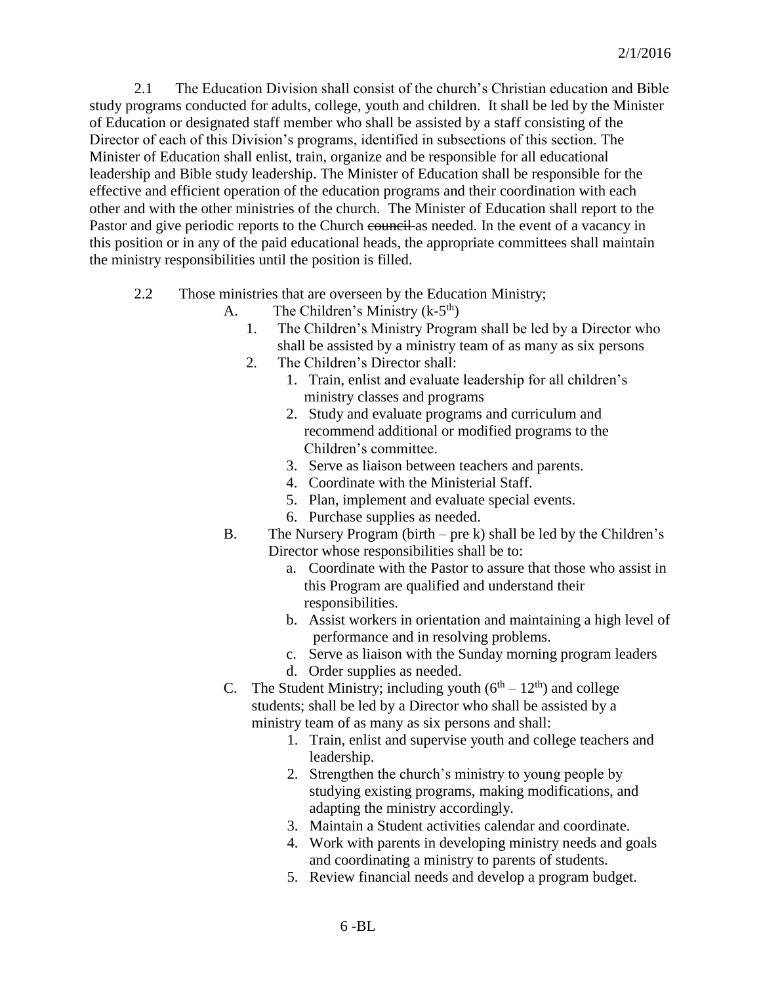2.1 The Education Division shall consist of the church's Christian education and Bible study programs conducted for adults, college, youth and children. It shall be led by the Minister of Education or designated staff member who shall be assisted by a staff consisting of the Director of each of this Division's programs, identified in subsections of this section. The Minister of Education shall enlist, train, organize and be responsible for all educational leadership and Bible study leadership. The Minister of Education shall be responsible for the effective and efficient operation of the education programs and their coordination with each other and with the other ministries of the church. The Minister of Education shall report to the Pastor and give periodic reports to the Church council as needed. In the event of a vacancy in this position or in any of the paid educational heads, the appropriate committees shall maintain the ministry responsibilities until the position is filled.

- 2.2 Those ministries that are overseen by the Education Ministry;
	- A. The Children's Ministry  $(k-5<sup>th</sup>)$ 
		- 1. The Children's Ministry Program shall be led by a Director who shall be assisted by a ministry team of as many as six persons
		- 2. The Children's Director shall:
			- 1. Train, enlist and evaluate leadership for all children's ministry classes and programs
			- 2. Study and evaluate programs and curriculum and recommend additional or modified programs to the Children's committee.
			- 3. Serve as liaison between teachers and parents.
			- 4. Coordinate with the Ministerial Staff.
			- 5. Plan, implement and evaluate special events.
			- 6. Purchase supplies as needed.
	- B. The Nursery Program (birth pre k) shall be led by the Children's Director whose responsibilities shall be to:
		- a. Coordinate with the Pastor to assure that those who assist in this Program are qualified and understand their responsibilities.
		- b. Assist workers in orientation and maintaining a high level of performance and in resolving problems.
		- c. Serve as liaison with the Sunday morning program leaders
		- d. Order supplies as needed.
	- C. The Student Ministry; including youth  $(6<sup>th</sup> 12<sup>th</sup>)$  and college students; shall be led by a Director who shall be assisted by a ministry team of as many as six persons and shall:
		- 1. Train, enlist and supervise youth and college teachers and leadership.
		- 2. Strengthen the church's ministry to young people by studying existing programs, making modifications, and adapting the ministry accordingly.
		- 3. Maintain a Student activities calendar and coordinate.
		- 4. Work with parents in developing ministry needs and goals and coordinating a ministry to parents of students.
		- 5. Review financial needs and develop a program budget.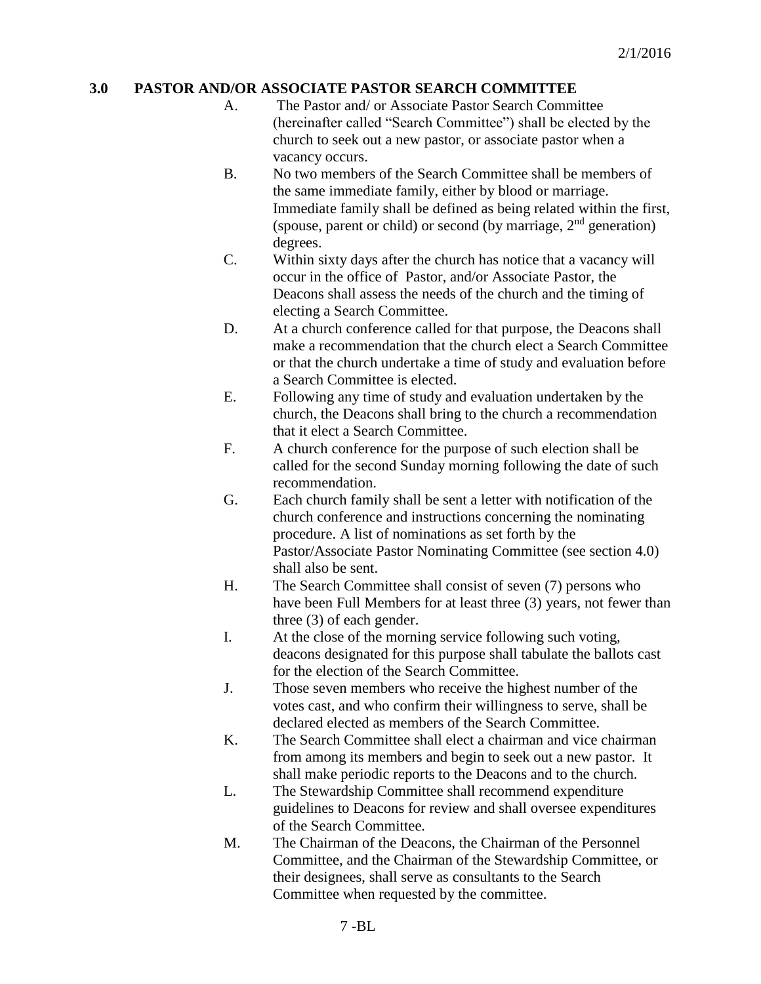# **3.0 PASTOR AND/OR ASSOCIATE PASTOR SEARCH COMMITTEE**

- A. The Pastor and/ or Associate Pastor Search Committee (hereinafter called "Search Committee") shall be elected by the church to seek out a new pastor, or associate pastor when a vacancy occurs.
- B. No two members of the Search Committee shall be members of the same immediate family, either by blood or marriage. Immediate family shall be defined as being related within the first, (spouse, parent or child) or second (by marriage,  $2<sup>nd</sup>$  generation) degrees.
- C. Within sixty days after the church has notice that a vacancy will occur in the office of Pastor, and/or Associate Pastor, the Deacons shall assess the needs of the church and the timing of electing a Search Committee.
- D. At a church conference called for that purpose, the Deacons shall make a recommendation that the church elect a Search Committee or that the church undertake a time of study and evaluation before a Search Committee is elected.
- E. Following any time of study and evaluation undertaken by the church, the Deacons shall bring to the church a recommendation that it elect a Search Committee.
- F. A church conference for the purpose of such election shall be called for the second Sunday morning following the date of such recommendation.
- G. Each church family shall be sent a letter with notification of the church conference and instructions concerning the nominating procedure. A list of nominations as set forth by the Pastor/Associate Pastor Nominating Committee (see section 4.0) shall also be sent.
- H. The Search Committee shall consist of seven (7) persons who have been Full Members for at least three (3) years, not fewer than three (3) of each gender.
- I. At the close of the morning service following such voting, deacons designated for this purpose shall tabulate the ballots cast for the election of the Search Committee.
- J. Those seven members who receive the highest number of the votes cast, and who confirm their willingness to serve, shall be declared elected as members of the Search Committee.
- K. The Search Committee shall elect a chairman and vice chairman from among its members and begin to seek out a new pastor. It shall make periodic reports to the Deacons and to the church.
- L. The Stewardship Committee shall recommend expenditure guidelines to Deacons for review and shall oversee expenditures of the Search Committee.
- M. The Chairman of the Deacons, the Chairman of the Personnel Committee, and the Chairman of the Stewardship Committee, or their designees, shall serve as consultants to the Search Committee when requested by the committee.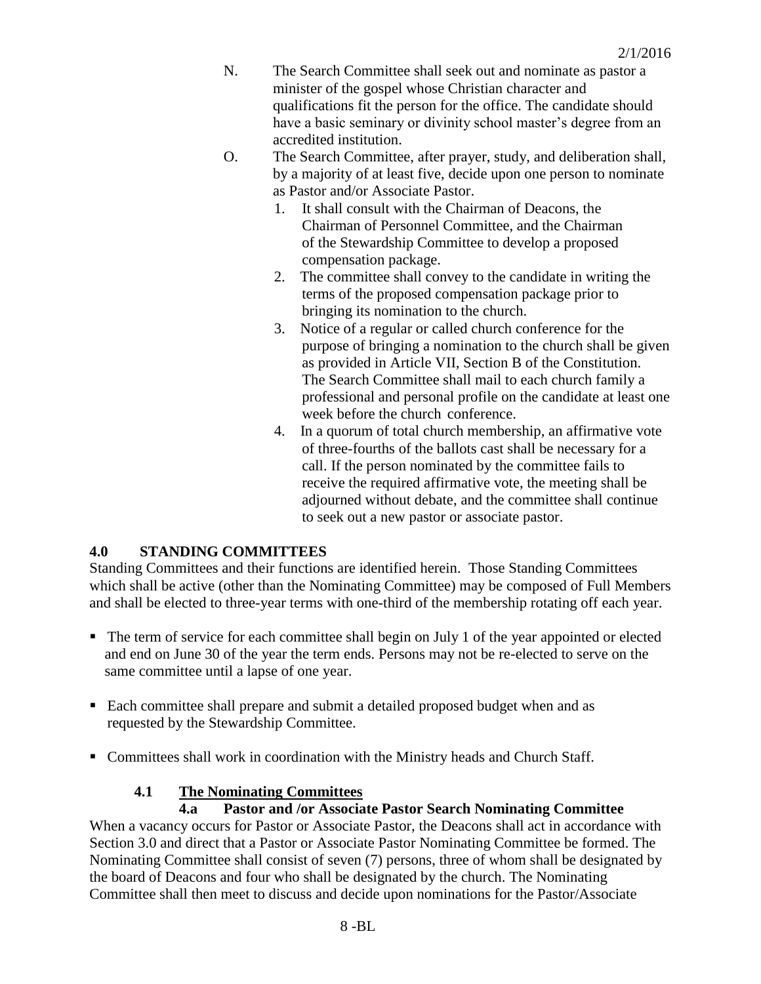- N. The Search Committee shall seek out and nominate as pastor a minister of the gospel whose Christian character and qualifications fit the person for the office. The candidate should have a basic seminary or divinity school master's degree from an accredited institution.
- O. The Search Committee, after prayer, study, and deliberation shall, by a majority of at least five, decide upon one person to nominate as Pastor and/or Associate Pastor.
	- 1. It shall consult with the Chairman of Deacons, the Chairman of Personnel Committee, and the Chairman of the Stewardship Committee to develop a proposed compensation package.
	- 2. The committee shall convey to the candidate in writing the terms of the proposed compensation package prior to bringing its nomination to the church.
	- 3. Notice of a regular or called church conference for the purpose of bringing a nomination to the church shall be given as provided in Article VII, Section B of the Constitution. The Search Committee shall mail to each church family a professional and personal profile on the candidate at least one week before the church conference.
	- 4. In a quorum of total church membership, an affirmative vote of three-fourths of the ballots cast shall be necessary for a call. If the person nominated by the committee fails to receive the required affirmative vote, the meeting shall be adjourned without debate, and the committee shall continue to seek out a new pastor or associate pastor.

# **4.0 STANDING COMMITTEES**

Standing Committees and their functions are identified herein. Those Standing Committees which shall be active (other than the Nominating Committee) may be composed of Full Members and shall be elected to three-year terms with one-third of the membership rotating off each year.

- The term of service for each committee shall begin on July 1 of the year appointed or elected and end on June 30 of the year the term ends. Persons may not be re-elected to serve on the same committee until a lapse of one year.
- Each committee shall prepare and submit a detailed proposed budget when and as requested by the Stewardship Committee.
- Committees shall work in coordination with the Ministry heads and Church Staff.

# **4.1 The Nominating Committees**

### **4.a Pastor and /or Associate Pastor Search Nominating Committee**

When a vacancy occurs for Pastor or Associate Pastor, the Deacons shall act in accordance with Section 3.0 and direct that a Pastor or Associate Pastor Nominating Committee be formed. The Nominating Committee shall consist of seven (7) persons, three of whom shall be designated by the board of Deacons and four who shall be designated by the church. The Nominating Committee shall then meet to discuss and decide upon nominations for the Pastor/Associate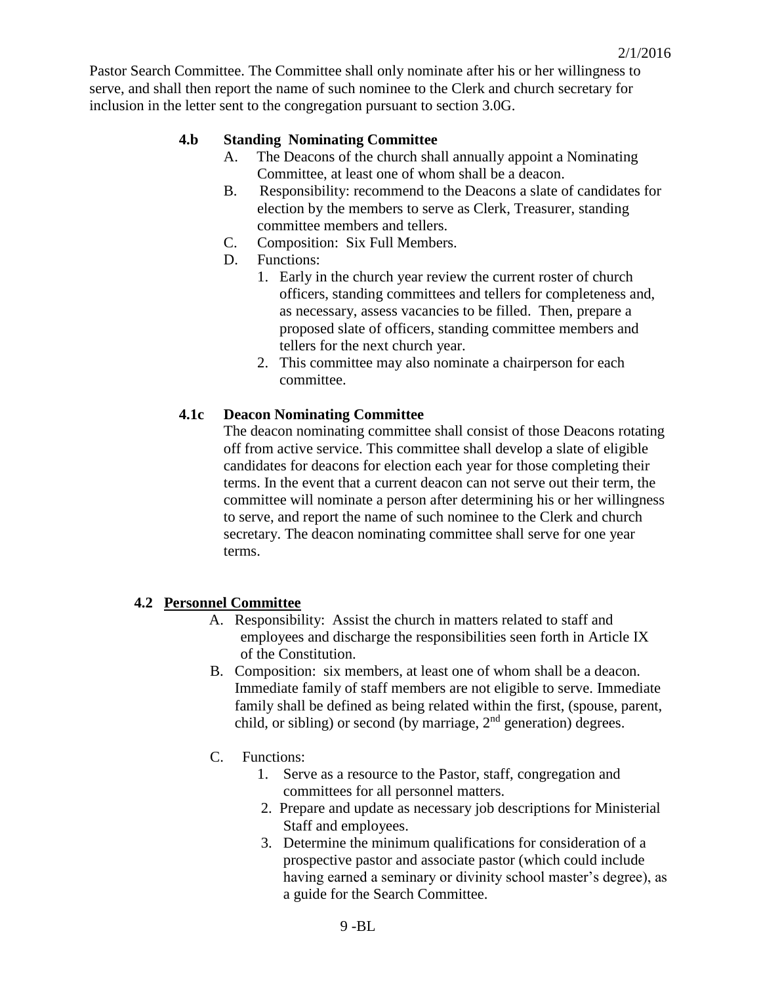Pastor Search Committee. The Committee shall only nominate after his or her willingness to serve, and shall then report the name of such nominee to the Clerk and church secretary for inclusion in the letter sent to the congregation pursuant to section 3.0G.

## **4.b Standing Nominating Committee**

- A. The Deacons of the church shall annually appoint a Nominating Committee, at least one of whom shall be a deacon.
- B. Responsibility: recommend to the Deacons a slate of candidates for election by the members to serve as Clerk, Treasurer, standing committee members and tellers.
- C. Composition: Six Full Members.
- D. Functions:
	- 1. Early in the church year review the current roster of church officers, standing committees and tellers for completeness and, as necessary, assess vacancies to be filled. Then, prepare a proposed slate of officers, standing committee members and tellers for the next church year.
	- 2. This committee may also nominate a chairperson for each committee.

#### **4.1c Deacon Nominating Committee**

The deacon nominating committee shall consist of those Deacons rotating off from active service. This committee shall develop a slate of eligible candidates for deacons for election each year for those completing their terms. In the event that a current deacon can not serve out their term, the committee will nominate a person after determining his or her willingness to serve, and report the name of such nominee to the Clerk and church secretary. The deacon nominating committee shall serve for one year terms.

### **4.2 Personnel Committee**

- A. Responsibility: Assist the church in matters related to staff and employees and discharge the responsibilities seen forth in Article IX of the Constitution.
- B. Composition: six members, at least one of whom shall be a deacon. Immediate family of staff members are not eligible to serve. Immediate family shall be defined as being related within the first, (spouse, parent, child, or sibling) or second (by marriage,  $2<sup>nd</sup>$  generation) degrees.
- C. Functions:
	- 1. Serve as a resource to the Pastor, staff, congregation and committees for all personnel matters.
	- 2. Prepare and update as necessary job descriptions for Ministerial Staff and employees.
	- 3. Determine the minimum qualifications for consideration of a prospective pastor and associate pastor (which could include having earned a seminary or divinity school master's degree), as a guide for the Search Committee.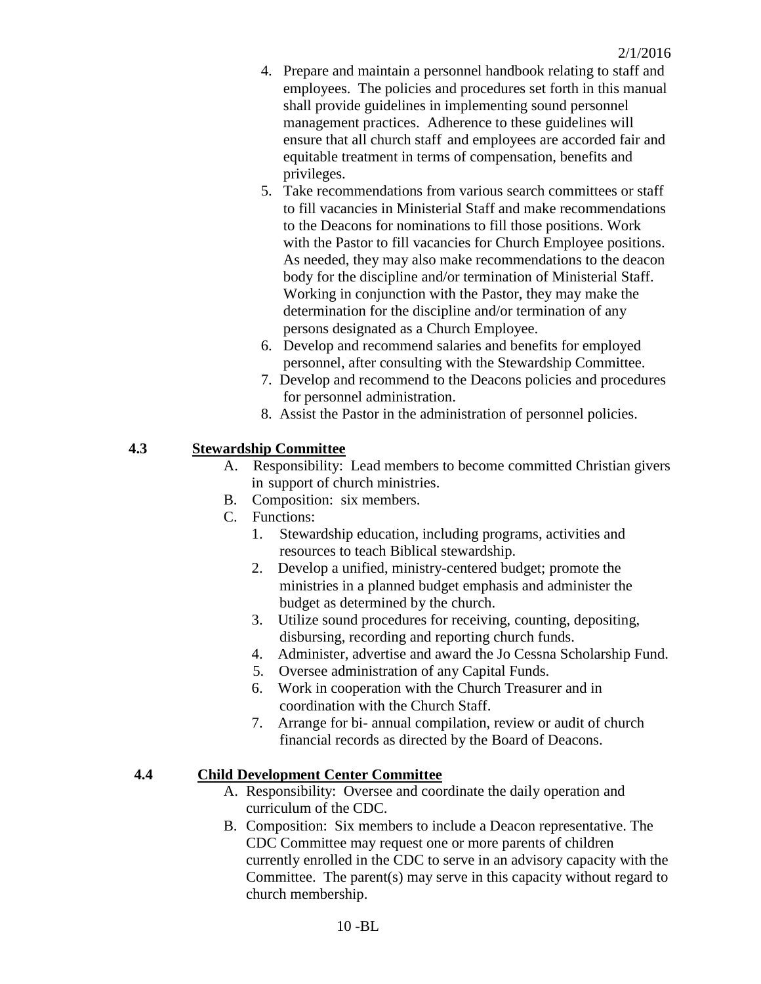- 4. Prepare and maintain a personnel handbook relating to staff and employees. The policies and procedures set forth in this manual shall provide guidelines in implementing sound personnel management practices. Adherence to these guidelines will ensure that all church staff and employees are accorded fair and equitable treatment in terms of compensation, benefits and privileges.
- 5. Take recommendations from various search committees or staff to fill vacancies in Ministerial Staff and make recommendations to the Deacons for nominations to fill those positions. Work with the Pastor to fill vacancies for Church Employee positions. As needed, they may also make recommendations to the deacon body for the discipline and/or termination of Ministerial Staff. Working in conjunction with the Pastor, they may make the determination for the discipline and/or termination of any persons designated as a Church Employee.
- 6. Develop and recommend salaries and benefits for employed personnel, after consulting with the Stewardship Committee.
- 7. Develop and recommend to the Deacons policies and procedures for personnel administration.
- 8. Assist the Pastor in the administration of personnel policies.

# **4.3 Stewardship Committee**

- A. Responsibility: Lead members to become committed Christian givers in support of church ministries.
- B. Composition: six members.
- C. Functions:
	- 1. Stewardship education, including programs, activities and resources to teach Biblical stewardship.
	- 2. Develop a unified, ministry-centered budget; promote the ministries in a planned budget emphasis and administer the budget as determined by the church.
	- 3. Utilize sound procedures for receiving, counting, depositing, disbursing, recording and reporting church funds.
	- 4. Administer, advertise and award the Jo Cessna Scholarship Fund.
	- 5. Oversee administration of any Capital Funds.
	- 6. Work in cooperation with the Church Treasurer and in coordination with the Church Staff.
	- 7. Arrange for bi- annual compilation, review or audit of church financial records as directed by the Board of Deacons.

### **4.4 Child Development Center Committee**

- A. Responsibility: Oversee and coordinate the daily operation and curriculum of the CDC.
- B. Composition: Six members to include a Deacon representative. The CDC Committee may request one or more parents of children currently enrolled in the CDC to serve in an advisory capacity with the Committee. The parent(s) may serve in this capacity without regard to church membership.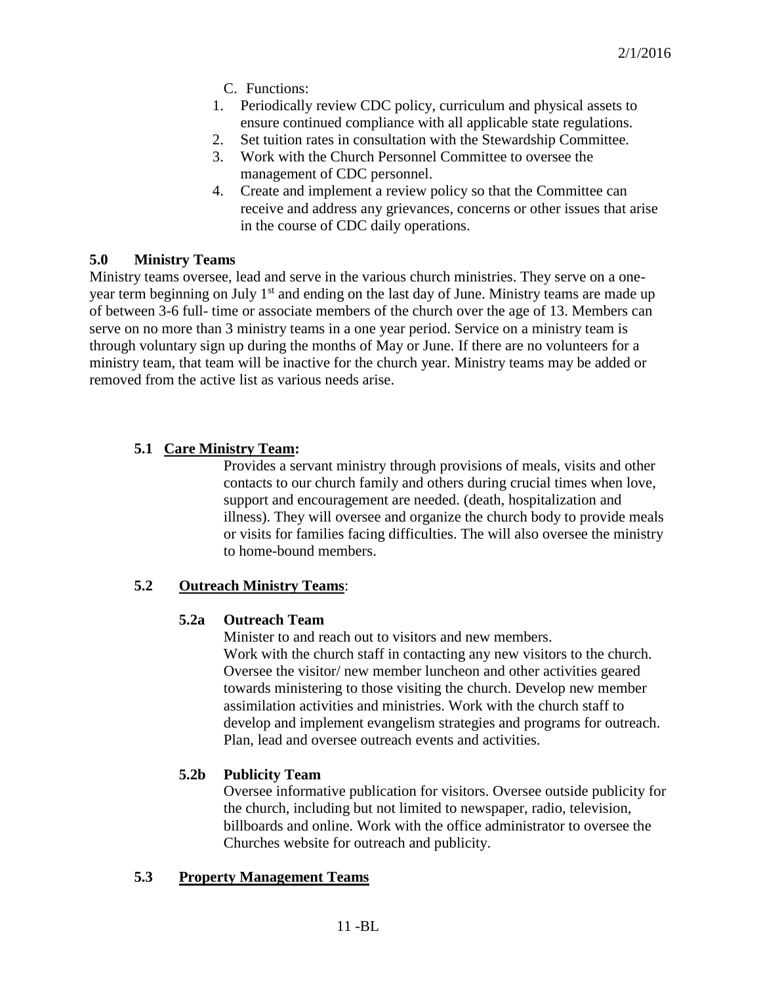- C. Functions:
- 1. Periodically review CDC policy, curriculum and physical assets to ensure continued compliance with all applicable state regulations.
- 2. Set tuition rates in consultation with the Stewardship Committee.
- 3. Work with the Church Personnel Committee to oversee the management of CDC personnel.
- 4. Create and implement a review policy so that the Committee can receive and address any grievances, concerns or other issues that arise in the course of CDC daily operations.

### **5.0 Ministry Teams**

Ministry teams oversee, lead and serve in the various church ministries. They serve on a oneyear term beginning on July 1<sup>st</sup> and ending on the last day of June. Ministry teams are made up of between 3-6 full- time or associate members of the church over the age of 13. Members can serve on no more than 3 ministry teams in a one year period. Service on a ministry team is through voluntary sign up during the months of May or June. If there are no volunteers for a ministry team, that team will be inactive for the church year. Ministry teams may be added or removed from the active list as various needs arise.

# **5.1 Care Ministry Team:**

Provides a servant ministry through provisions of meals, visits and other contacts to our church family and others during crucial times when love, support and encouragement are needed. (death, hospitalization and illness). They will oversee and organize the church body to provide meals or visits for families facing difficulties. The will also oversee the ministry to home-bound members.

### **5.2 Outreach Ministry Teams**:

### **5.2a Outreach Team**

Minister to and reach out to visitors and new members. Work with the church staff in contacting any new visitors to the church. Oversee the visitor/ new member luncheon and other activities geared towards ministering to those visiting the church. Develop new member assimilation activities and ministries. Work with the church staff to develop and implement evangelism strategies and programs for outreach. Plan, lead and oversee outreach events and activities.

# **5.2b Publicity Team**

Oversee informative publication for visitors. Oversee outside publicity for the church, including but not limited to newspaper, radio, television, billboards and online. Work with the office administrator to oversee the Churches website for outreach and publicity.

### **5.3 Property Management Teams**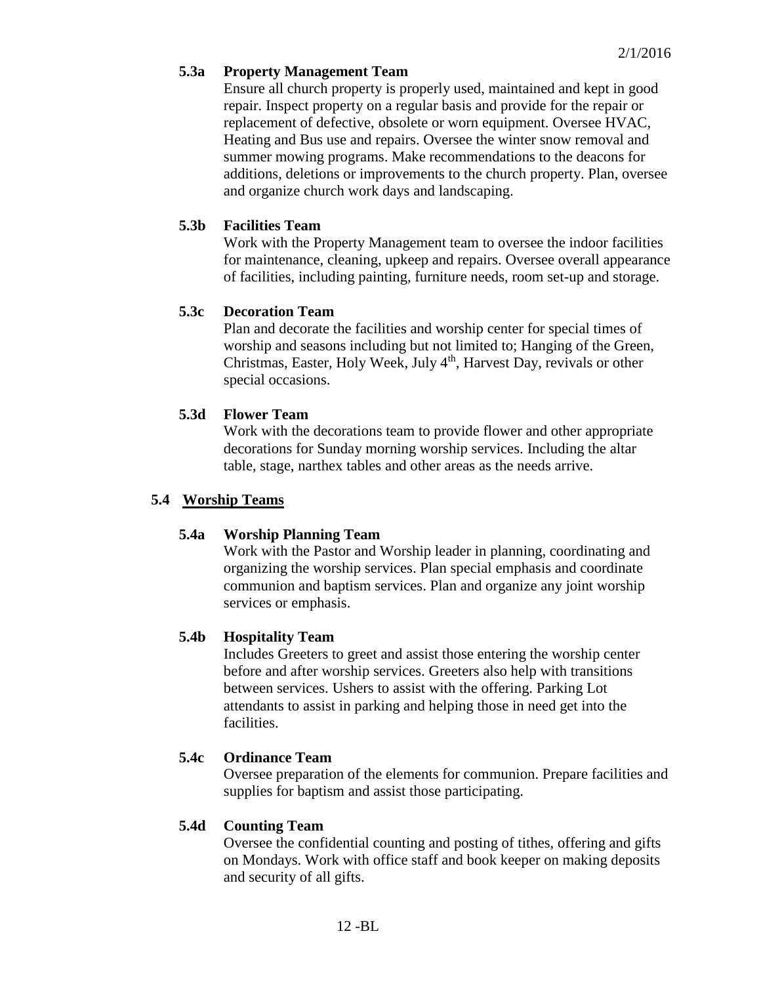# **5.3a Property Management Team**

Ensure all church property is properly used, maintained and kept in good repair. Inspect property on a regular basis and provide for the repair or replacement of defective, obsolete or worn equipment. Oversee HVAC, Heating and Bus use and repairs. Oversee the winter snow removal and summer mowing programs. Make recommendations to the deacons for additions, deletions or improvements to the church property. Plan, oversee and organize church work days and landscaping.

# **5.3b Facilities Team**

Work with the Property Management team to oversee the indoor facilities for maintenance, cleaning, upkeep and repairs. Oversee overall appearance of facilities, including painting, furniture needs, room set-up and storage.

# **5.3c Decoration Team**

Plan and decorate the facilities and worship center for special times of worship and seasons including but not limited to; Hanging of the Green, Christmas, Easter, Holy Week, July  $4<sup>th</sup>$ , Harvest Day, revivals or other special occasions.

# **5.3d Flower Team**

Work with the decorations team to provide flower and other appropriate decorations for Sunday morning worship services. Including the altar table, stage, narthex tables and other areas as the needs arrive.

## **5.4 Worship Teams**

### **5.4a Worship Planning Team**

Work with the Pastor and Worship leader in planning, coordinating and organizing the worship services. Plan special emphasis and coordinate communion and baptism services. Plan and organize any joint worship services or emphasis.

### **5.4b Hospitality Team**

Includes Greeters to greet and assist those entering the worship center before and after worship services. Greeters also help with transitions between services. Ushers to assist with the offering. Parking Lot attendants to assist in parking and helping those in need get into the facilities.

# **5.4c Ordinance Team**

Oversee preparation of the elements for communion. Prepare facilities and supplies for baptism and assist those participating.

# **5.4d Counting Team**

Oversee the confidential counting and posting of tithes, offering and gifts on Mondays. Work with office staff and book keeper on making deposits and security of all gifts.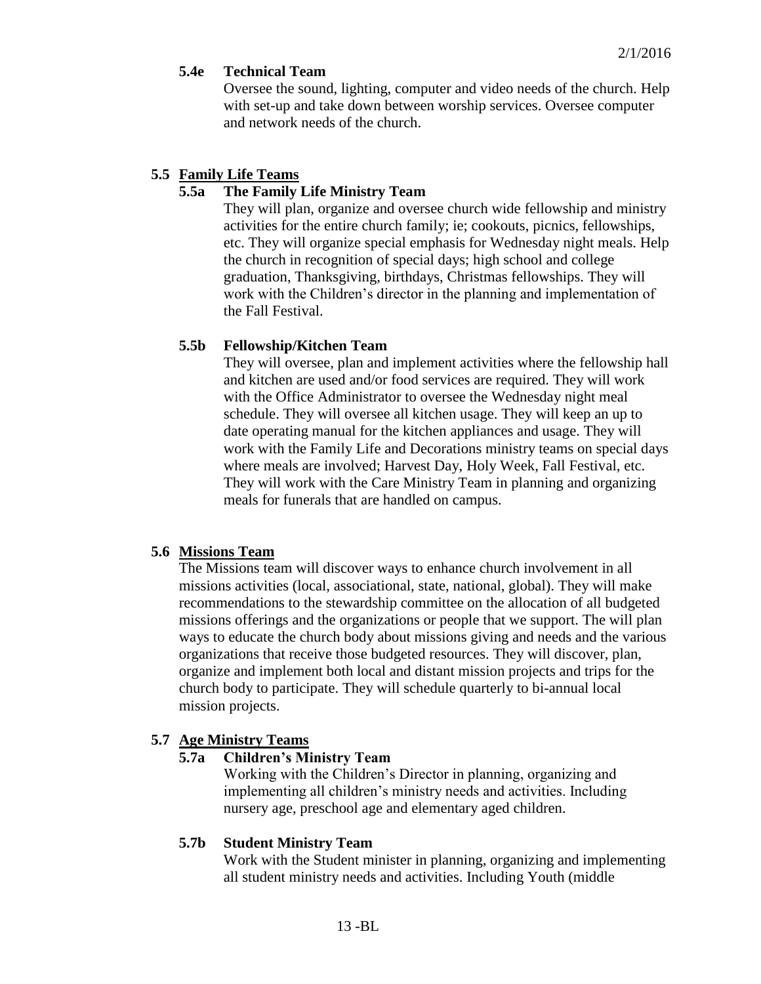### **5.4e Technical Team**

Oversee the sound, lighting, computer and video needs of the church. Help with set-up and take down between worship services. Oversee computer and network needs of the church.

## **5.5 Family Life Teams**

# **5.5a The Family Life Ministry Team**

They will plan, organize and oversee church wide fellowship and ministry activities for the entire church family; ie; cookouts, picnics, fellowships, etc. They will organize special emphasis for Wednesday night meals. Help the church in recognition of special days; high school and college graduation, Thanksgiving, birthdays, Christmas fellowships. They will work with the Children's director in the planning and implementation of the Fall Festival.

# **5.5b Fellowship/Kitchen Team**

They will oversee, plan and implement activities where the fellowship hall and kitchen are used and/or food services are required. They will work with the Office Administrator to oversee the Wednesday night meal schedule. They will oversee all kitchen usage. They will keep an up to date operating manual for the kitchen appliances and usage. They will work with the Family Life and Decorations ministry teams on special days where meals are involved; Harvest Day, Holy Week, Fall Festival, etc. They will work with the Care Ministry Team in planning and organizing meals for funerals that are handled on campus.

### **5.6 Missions Team**

The Missions team will discover ways to enhance church involvement in all missions activities (local, associational, state, national, global). They will make recommendations to the stewardship committee on the allocation of all budgeted missions offerings and the organizations or people that we support. The will plan ways to educate the church body about missions giving and needs and the various organizations that receive those budgeted resources. They will discover, plan, organize and implement both local and distant mission projects and trips for the church body to participate. They will schedule quarterly to bi-annual local mission projects.

# **5.7 Age Ministry Teams**

### **5.7a Children's Ministry Team**

Working with the Children's Director in planning, organizing and implementing all children's ministry needs and activities. Including nursery age, preschool age and elementary aged children.

### **5.7b Student Ministry Team**

Work with the Student minister in planning, organizing and implementing all student ministry needs and activities. Including Youth (middle